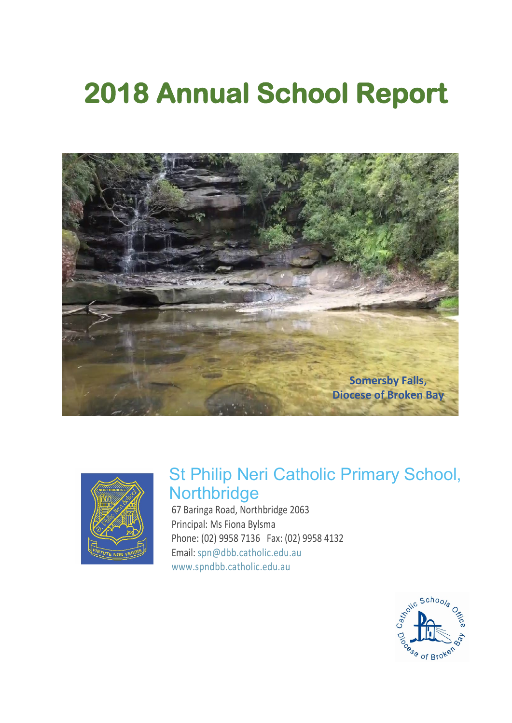# **2018 Annual School Report**





## St Philip Neri Catholic Primary School, **Northbridge**

67 Baringa Road, Northbridge 2063 Principal: Ms Fiona Bylsma Phone: (02) 9958 7136 Fax: (02) 9958 4132 Email: [spn@dbb.catholic.edu.au](mailto:%20spn@dbb.catholic.edu.au) [www.spndbb.catholic.edu.au](https://www.spndbb.catholic.edu.au/)

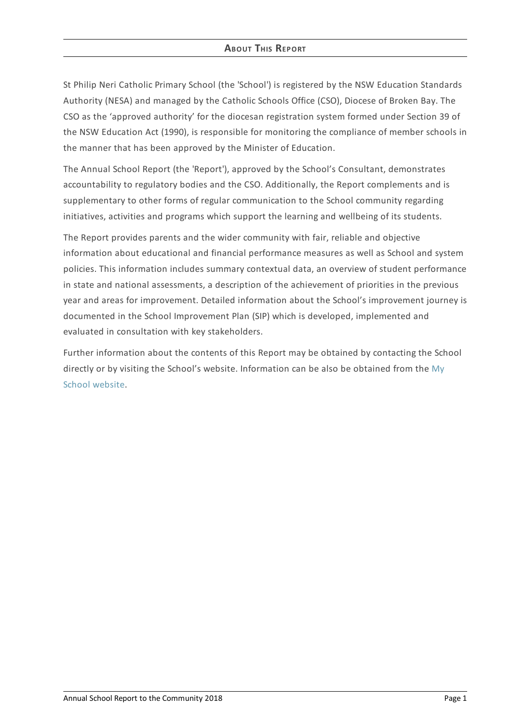#### **ABOUT THIS REPORT**

St Philip Neri Catholic Primary School (the 'School') is registered by the NSW Education Standards Authority (NESA) and managed by the Catholic Schools Office (CSO), Diocese of Broken Bay. The CSO as the 'approved authority' for the diocesan registration system formed under Section 39 of the NSW Education Act (1990), is responsible for monitoring the compliance of member schools in the manner that has been approved by the Minister of Education.

The Annual School Report (the 'Report'), approved by the School's Consultant, demonstrates accountability to regulatory bodies and the CSO. Additionally, the Report complements and is supplementary to other forms of regular communication to the School community regarding initiatives, activities and programs which support the learning and wellbeing of its students.

The Report provides parents and the wider community with fair, reliable and objective information about educational and financial performance measures as well as School and system policies. This information includes summary contextual data, an overview of student performance in state and national assessments, a description of the achievement of priorities in the previous year and areas for improvement. Detailed information about the School's improvement journey is documented in the School Improvement Plan (SIP) which is developed, implemented and evaluated in consultation with key stakeholders.

Further information about the contents of this Report may be obtained by contacting the School directly or by visiting the School's website. [Information](http://www.myschool.edu.au/) can be also be obtained from the My School website.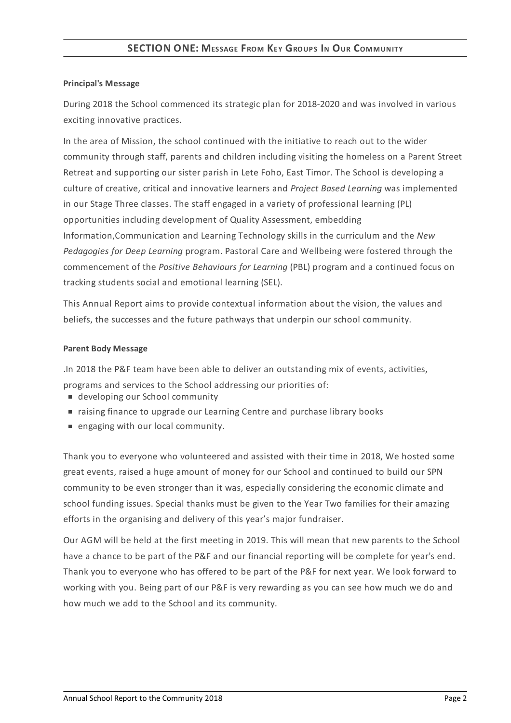#### **SECTION ONE: MESSAGE FROM KEY GROUPS I<sup>N</sup> OUR COMMUNITY**

#### **Principal's Message**

During 2018 the School commenced its strategic plan for 2018-2020 and was involved in various exciting innovative practices.

In the area of Mission, the school continued with the initiative to reach out to the wider community through staff, parents and children including visiting the homeless on a Parent Street Retreat and supporting our sister parish in Lete Foho, East Timor. The School is developing a culture of creative, critical and innovative learners and *Project Based Learning* was implemented in our Stage Three classes. The staff engaged in a variety of professional learning (PL) opportunities including development of Quality Assessment, embedding Information,Communication and Learning Technology skills in the curriculum and the *New Pedagogies for Deep Learning* program. Pastoral Care and Wellbeing were fostered through the commencement of the *Positive Behaviours for Learning* (PBL) program and a continued focus on tracking students social and emotional learning (SEL).

This Annual Report aims to provide contextual information about the vision, the values and beliefs, the successes and the future pathways that underpin our school community.

#### **Parent Body Message**

.In 2018 the P&F team have been able to deliver an outstanding mix of events, activities, programs and services to the School addressing our priorities of:

- developing our School community
- raising finance to upgrade our Learning Centre and purchase library books
- engaging with our local community.

Thank you to everyone who volunteered and assisted with their time in 2018, We hosted some great events, raised a huge amount of money for our School and continued to build our SPN community to be even stronger than it was, especially considering the economic climate and school funding issues. Special thanks must be given to the Year Two families for their amazing efforts in the organising and delivery of this year's major fundraiser.

Our AGM will be held at the first meeting in 2019. This will mean that new parents to the School have a chance to be part of the P&F and our financial reporting will be complete for year's end. Thank you to everyone who has offered to be part of the P&F for next year. We look forward to working with you. Being part of our P&F is very rewarding as you can see how much we do and how much we add to the School and its community.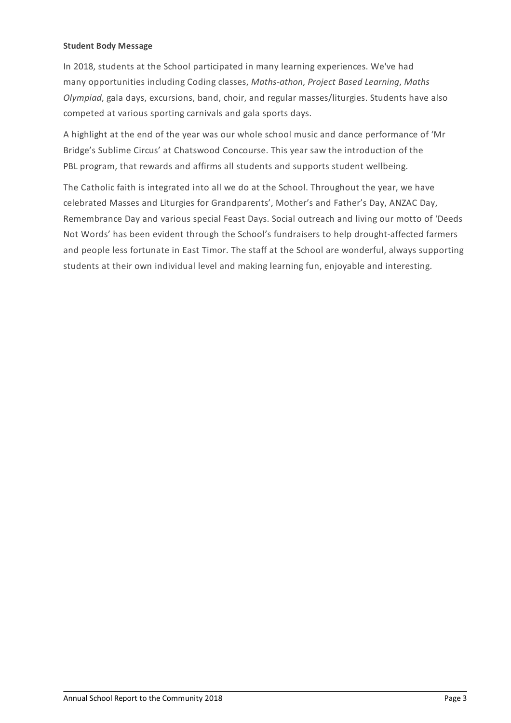#### **Student Body Message**

In 2018, students at the School participated in many learning experiences. We've had many opportunities including Coding classes, *Maths-athon*, *Project Based Learning*, *Maths Olympiad*, gala days, excursions, band, choir, and regular masses/liturgies. Students have also competed at various sporting carnivals and gala sports days.

A highlight at the end of the year was our whole school music and dance performance of 'Mr Bridge's Sublime Circus' at Chatswood Concourse. This year saw the introduction of the PBL program, that rewards and affirms all students and supports student wellbeing.

The Catholic faith is integrated into all we do at the School. Throughout the year, we have celebrated Masses and Liturgies for Grandparents', Mother's and Father's Day, ANZAC Day, Remembrance Day and various special Feast Days. Social outreach and living our motto of 'Deeds Not Words' has been evident through the School's fundraisers to help drought-affected farmers and people less fortunate in East Timor. The staff at the School are wonderful, always supporting students at their own individual level and making learning fun, enjoyable and interesting.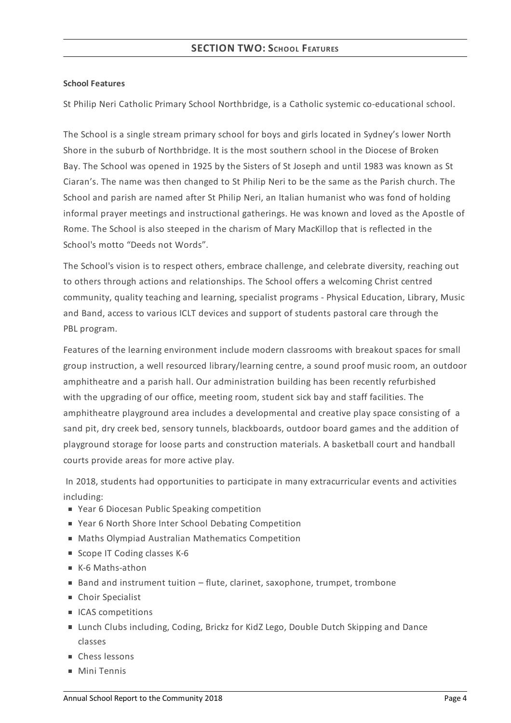#### **School Features**

St Philip Neri Catholic Primary School Northbridge, is a Catholic systemic co-educational school.

The School is a single stream primary school for boys and girls located in Sydney's lower North Shore in the suburb of Northbridge. It is the most southern school in the Diocese of Broken Bay. The School was opened in 1925 by the Sisters of St Joseph and until 1983 was known as St Ciaran's. The name was then changed to St Philip Neri to be the same as the Parish church. The School and parish are named after St Philip Neri, an Italian humanist who was fond of holding informal prayer meetings and instructional gatherings. He was known and loved as the Apostle of Rome. The School is also steeped in the charism of Mary MacKillop that is reflected in the School's motto "Deeds not Words".

The School's vision is to respect others, embrace challenge, and celebrate diversity, reaching out to others through actions and relationships. The School offers a welcoming Christ centred community, quality teaching and learning, specialist programs - Physical Education, Library, Music and Band, access to various ICLT devices and support of students pastoral care through the PBL program.

Features of the learning environment include modern classrooms with breakout spaces for small group instruction, a well resourced library/learning centre, a sound proof music room, an outdoor amphitheatre and a parish hall. Our administration building has been recently refurbished with the upgrading of our office, meeting room, student sick bay and staff facilities. The amphitheatre playground area includes a developmental and creative play space consisting of a sand pit, dry creek bed, sensory tunnels, blackboards, outdoor board games and the addition of playground storage for loose parts and construction materials. A basketball court and handball courts provide areas for more active play.

In 2018, students had opportunities to participate in many extracurricular events and activities including:

- Year 6 Diocesan Public Speaking competition
- Year 6 North Shore Inter School Debating Competition
- Maths Olympiad Australian Mathematics Competition
- Scope IT Coding classes K-6
- K-6 Maths-athon
- Band and instrument tuition flute, clarinet, saxophone, trumpet, trombone
- Choir Specialist
- ICAS competitions
- Lunch Clubs including, Coding, Brickz for KidZ Lego, Double Dutch Skipping and Dance classes
- Chess lessons
- Mini Tennis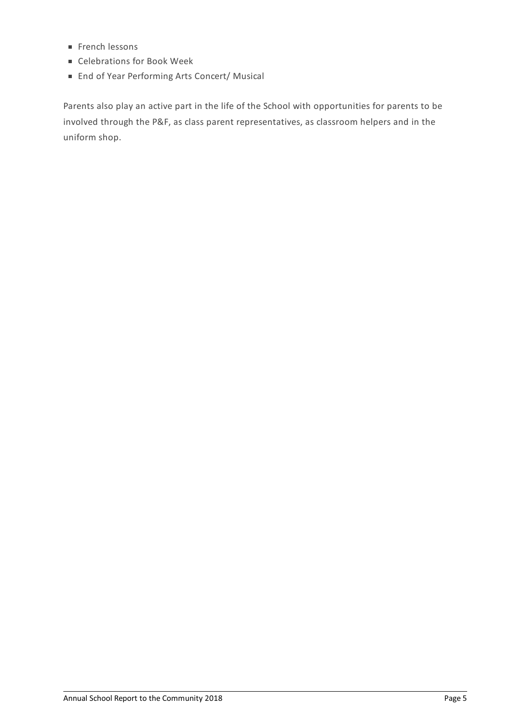- $F$ French lessons
- Celebrations for Book Week
- End of Year Performing Arts Concert/ Musical

Parents also play an active part in the life of the School with opportunities for parents to be involved through the P&F, as class parent representatives, as classroom helpers and in the uniform shop.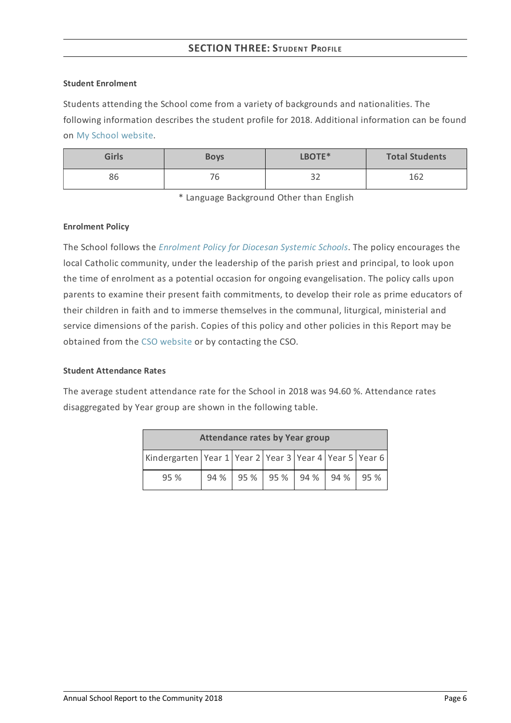### **SECTION THREE: STUDENT PROFILE**

#### **Student Enrolment**

Students attending the School come from a variety of backgrounds and nationalities. The following information describes the student profile for 2018. Additional information can be found on My School [website](http://www.myschool.edu.au/).

| <b>Girls</b> | <b>Boys</b> | LBOTE*    | <b>Total Students</b> |
|--------------|-------------|-----------|-----------------------|
| 86           | ⇁<br>' b    | 22<br>ے ب | 162                   |

\* Language Background Other than English

#### **Enrolment Policy**

The School follows the *[Enrolment](https://www.csodbb.catholic.edu.au/about/dsp-collection.cfm?loadref=125) Policy for Diocesan Systemic Schools*. The policy encourages the local Catholic community, under the leadership of the parish priest and principal, to look upon the time of enrolment as a potential occasion for ongoing evangelisation. The policy calls upon parents to examine their present faith commitments, to develop their role as prime educators of their children in faith and to immerse themselves in the communal, liturgical, ministerial and service dimensions of the parish. Copies of this policy and other policies in this Report may be obtained from the CSO [website](https://www.csodbb.catholic.edu.au/index.cfm) or by contacting the CSO.

#### **Student Attendance Rates**

The average student attendance rate for the School in 2018 was 94.60 %. Attendance rates disaggregated by Year group are shown in the following table.

| <b>Attendance rates by Year group</b>                              |  |  |                          |  |      |
|--------------------------------------------------------------------|--|--|--------------------------|--|------|
| Kindergarten   Year 1   Year 2   Year 3   Year 4   Year 5   Year 6 |  |  |                          |  |      |
| 95 %                                                               |  |  | 94 % 95 % 95 % 94 % 94 % |  | 195% |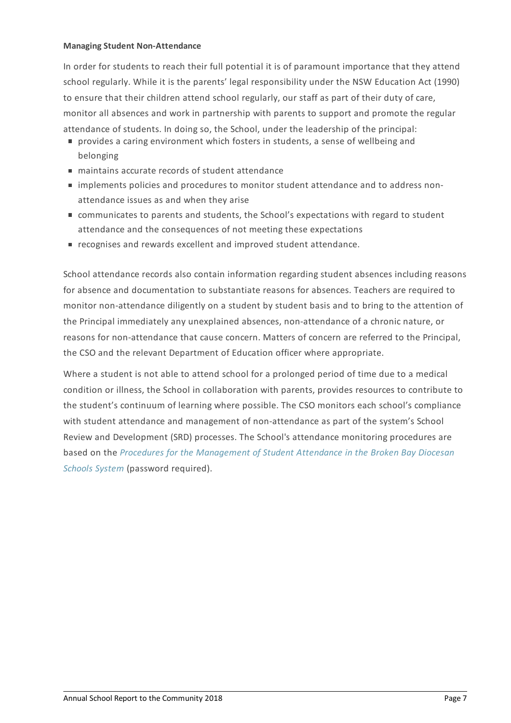#### **Managing Student Non-Attendance**

In order for students to reach their full potential it is of paramount importance that they attend school regularly. While it is the parents' legal responsibility under the NSW Education Act (1990) to ensure that their children attend school regularly, our staff as part of their duty of care, monitor all absences and work in partnership with parents to support and promote the regular attendance of students. In doing so, the School, under the leadership of the principal:

- provides a caring environment which fosters in students, a sense of wellbeing and belonging
- maintains accurate records of student attendance
- implements policies and procedures to monitor student attendance and to address nonattendance issues as and when they arise
- communicates to parents and students, the School's expectations with regard to student attendance and the consequences of not meeting these expectations
- e recognises and rewards excellent and improved student attendance.

School attendance records also contain information regarding student absences including reasons for absence and documentation to substantiate reasons for absences. Teachers are required to monitor non-attendance diligently on a student by student basis and to bring to the attention of the Principal immediately any unexplained absences, non-attendance of a chronic nature, or reasons for non-attendance that cause concern. Matters of concern are referred to the Principal, the CSO and the relevant Department of Education officer where appropriate.

Where a student is not able to attend school for a prolonged period of time due to a medical condition or illness, the School in collaboration with parents, provides resources to contribute to the student's continuum of learning where possible. The CSO monitors each school's compliance with student attendance and management of non-attendance as part of the system's School Review and Development (SRD) processes. The School's attendance monitoring procedures are based on the *Procedures for the [Management](http://srd.dbbcso.org/attendance--enrolment.html) of Student Attendance in the Broken Bay Diocesan Schools System* (password required).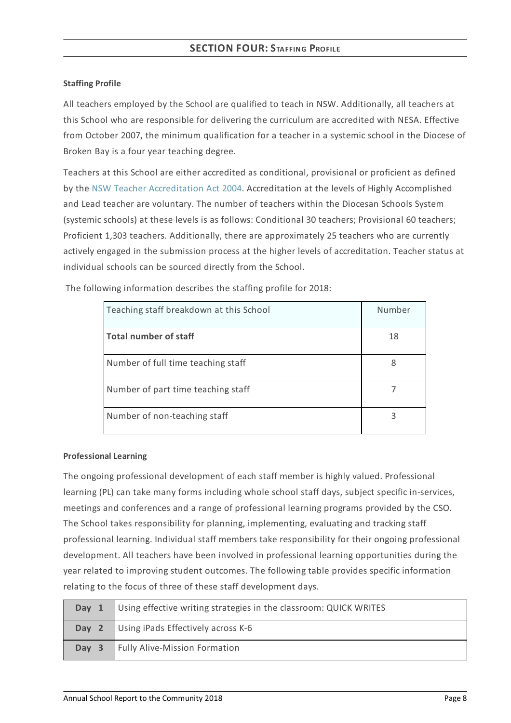#### **Staffing Profile**

All teachers employed by the School are qualified to teach in NSW. Additionally, all teachers at this School who are responsible for delivering the curriculum are accredited with NESA. Effective from October 2007, the minimum qualification for a teacher in a systemic school in the Diocese of Broken Bay is a four year teaching degree.

Teachers at this School are either accredited as conditional, provisional or proficient as defined by the NSW Teacher [Accreditation](https://www.legislation.nsw.gov.au/#/view/act/2004/65/part4/div5) Act 2004. Accreditation at the levels of Highly Accomplished and Lead teacher are voluntary. The number of teachers within the Diocesan Schools System (systemic schools) at these levels is as follows: Conditional 30 teachers; Provisional 60 teachers; Proficient 1,303 teachers. Additionally, there are approximately 25 teachers who are currently actively engaged in the submission process at the higher levels of accreditation. Teacher status at individual schools can be sourced directly from the School.

| Teaching staff breakdown at this School | Number |
|-----------------------------------------|--------|
| <b>Total number of staff</b>            | 18     |
| Number of full time teaching staff      | 8      |
| Number of part time teaching staff      |        |
| Number of non-teaching staff            |        |

The following information describes the staffing profile for 2018:

#### **Professional Learning**

The ongoing professional development of each staff member is highly valued. Professional learning (PL) can take many forms including whole school staff days, subject specific in-services, meetings and conferences and a range of professional learning programs provided by the CSO. The School takes responsibility for planning, implementing, evaluating and tracking staff professional learning. Individual staff members take responsibility for their ongoing professional development. All teachers have been involved in professional learning opportunities during the year related to improving student outcomes. The following table provides specific information relating to the focus of three of these staff development days.

| Day 1 | Using effective writing strategies in the classroom: QUICK WRITES |
|-------|-------------------------------------------------------------------|
|       | <b>Day 2</b> Using iPads Effectively across K-6                   |
| Day 3 | Fully Alive-Mission Formation                                     |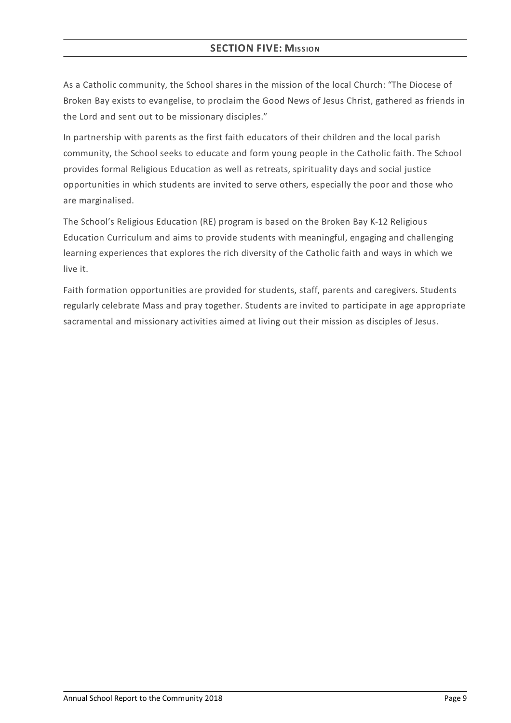### **SECTION FIVE: MISSION**

As a Catholic community, the School shares in the mission of the local Church: "The Diocese of Broken Bay exists to evangelise, to proclaim the Good News of Jesus Christ, gathered as friends in the Lord and sent out to be missionary disciples."

In partnership with parents as the first faith educators of their children and the local parish community, the School seeks to educate and form young people in the Catholic faith. The School provides formal Religious Education as well as retreats, spirituality days and social justice opportunities in which students are invited to serve others, especially the poor and those who are marginalised.

The School's Religious Education (RE) program is based on the Broken Bay K-12 Religious Education Curriculum and aims to provide students with meaningful, engaging and challenging learning experiences that explores the rich diversity of the Catholic faith and ways in which we live it.

Faith formation opportunities are provided for students, staff, parents and caregivers. Students regularly celebrate Mass and pray together. Students are invited to participate in age appropriate sacramental and missionary activities aimed at living out their mission as disciples of Jesus.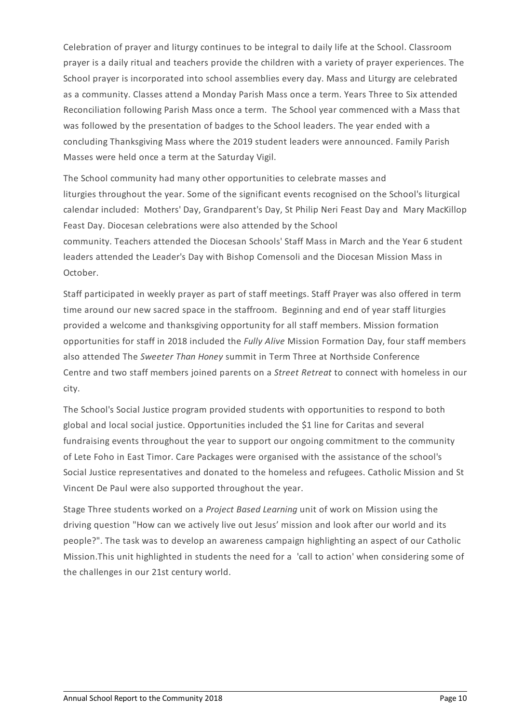Celebration of prayer and liturgy continues to be integral to daily life at the School. Classroom prayer is a daily ritual and teachers provide the children with a variety of prayer experiences. The School prayer is incorporated into school assemblies every day. Mass and Liturgy are celebrated as a community. Classes attend a Monday Parish Mass once a term. Years Three to Six attended Reconciliation following Parish Mass once a term. The School year commenced with a Mass that was followed by the presentation of badges to the School leaders. The year ended with a concluding Thanksgiving Mass where the 2019 student leaders were announced. Family Parish Masses were held once a term at the Saturday Vigil.

The School community had many other opportunities to celebrate masses and liturgies throughout the year. Some of the significant events recognised on the School's liturgical calendar included: Mothers' Day, Grandparent's Day, St Philip Neri Feast Day and Mary MacKillop Feast Day. Diocesan celebrations were also attended by the School community. Teachers attended the Diocesan Schools' Staff Mass in March and the Year 6 student leaders attended the Leader's Day with Bishop Comensoli and the Diocesan Mission Mass in October.

Staff participated in weekly prayer as part of staff meetings. Staff Prayer was also offered in term time around our new sacred space in the staffroom. Beginning and end of year staff liturgies provided a welcome and thanksgiving opportunity for all staff members. Mission formation opportunities for staff in 2018 included the *Fully Alive* Mission Formation Day, four staff members also attended The *Sweeter Than Honey* summit in Term Three at Northside Conference Centre and two staff members joined parents on a *Street Retreat* to connect with homeless in our city.

The School's Social Justice program provided students with opportunities to respond to both global and local social justice. Opportunities included the \$1 line for Caritas and several fundraising events throughout the year to support our ongoing commitment to the community of Lete Foho in East Timor. Care Packages were organised with the assistance of the school's Social Justice representatives and donated to the homeless and refugees. Catholic Mission and St Vincent De Paul were also supported throughout the year.

Stage Three students worked on a *Project Based Learning* unit of work on Mission using the driving question "How can we actively live out Jesus' mission and look after our world and its people?". The task was to develop an awareness campaign highlighting an aspect of our Catholic Mission.This unit highlighted in students the need for a 'call to action' when considering some of the challenges in our 21st century world.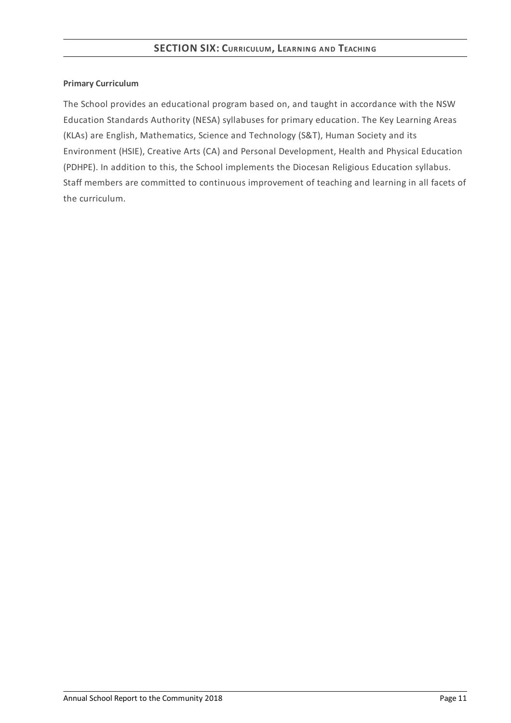#### **Primary Curriculum**

The School provides an educational program based on, and taught in accordance with the NSW Education Standards Authority (NESA) syllabuses for primary education. The Key Learning Areas (KLAs) are English, Mathematics, Science and Technology (S&T), Human Society and its Environment (HSIE), Creative Arts (CA) and Personal Development, Health and Physical Education (PDHPE). In addition to this, the School implements the Diocesan Religious Education syllabus. Staff members are committed to continuous improvement of teaching and learning in all facets of the curriculum.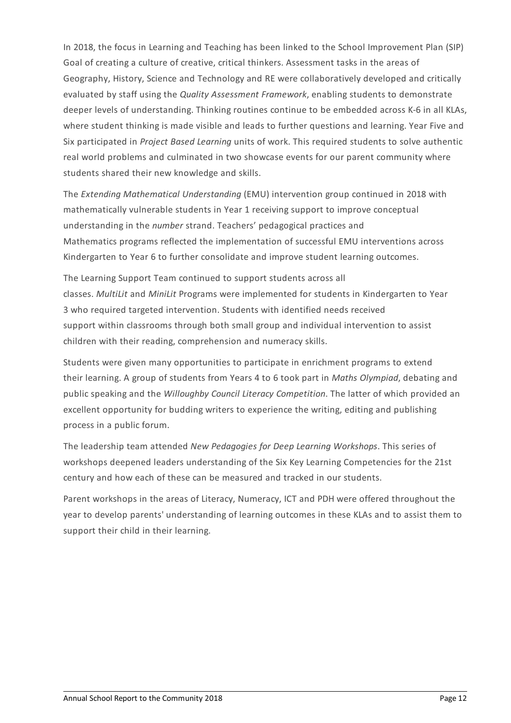In 2018, the focus in Learning and Teaching has been linked to the School Improvement Plan (SIP) Goal of creating a culture of creative, critical thinkers. Assessment tasks in the areas of Geography, History, Science and Technology and RE were collaboratively developed and critically evaluated by staff using the *Quality Assessment Framework*, enabling students to demonstrate deeper levels of understanding. Thinking routines continue to be embedded across K-6 in all KLAs, where student thinking is made visible and leads to further questions and learning. Year Five and Six participated in *Project Based Learning* units of work. This required students to solve authentic real world problems and culminated in two showcase events for our parent community where students shared their new knowledge and skills.

The *Extending Mathematical Understanding* (EMU) intervention group continued in 2018 with mathematically vulnerable students in Year 1 receiving support to improve conceptual understanding in the *number* strand. Teachers' pedagogical practices and Mathematics programs reflected the implementation of successful EMU interventions across Kindergarten to Year 6 to further consolidate and improve student learning outcomes.

The Learning Support Team continued to support students across all classes. *MultiLit* and *MiniLit* Programs were implemented for students in Kindergarten to Year 3 who required targeted intervention. Students with identified needs received support within classrooms through both small group and individual intervention to assist children with their reading, comprehension and numeracy skills.

Students were given many opportunities to participate in enrichment programs to extend their learning. A group of students from Years 4 to 6 took part in *Maths Olympiad*, debating and public speaking and the *Willoughby Council Literacy Competition*. The latter of which provided an excellent opportunity for budding writers to experience the writing, editing and publishing process in a public forum.

The leadership team attended *New Pedagogies for Deep Learning Workshops*. This series of workshops deepened leaders understanding of the Six Key Learning Competencies for the 21st century and how each of these can be measured and tracked in our students.

Parent workshops in the areas of Literacy, Numeracy, ICT and PDH were offered throughout the year to develop parents' understanding of learning outcomes in these KLAs and to assist them to support their child in their learning.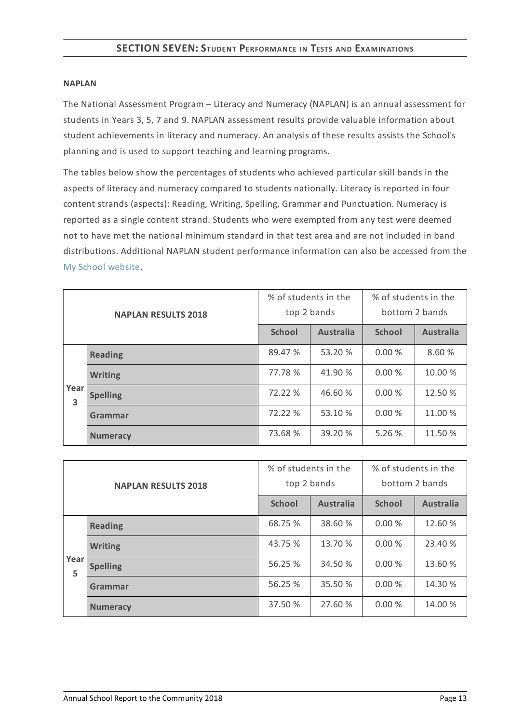#### **NAPLAN**

The National Assessment Program – Literacy and Numeracy (NAPLAN) is an annual assessment for students in Years 3, 5, 7 and 9. NAPLAN assessment results provide valuable information about student achievements in literacy and numeracy. An analysis of these results assists the School's planning and is used to support teaching and learning programs.

The tables below show the percentages of students who achieved particular skill bands in the aspects of literacy and numeracy compared to students nationally. Literacy is reported in four content strands (aspects): Reading, Writing, Spelling, Grammar and Punctuation. Numeracy is reported as a single content strand. Students who were exempted from any test were deemed not to have met the national minimum standard in that test area and are not included in band distributions. Additional NAPLAN student performance information can also be accessed from the My School [website](http://www.myschool.edu.au/).

| <b>NAPLAN RESULTS 2018</b> |                 | % of students in the<br>top 2 bands |                  | % of students in the<br>bottom 2 bands |                  |
|----------------------------|-----------------|-------------------------------------|------------------|----------------------------------------|------------------|
|                            |                 | <b>School</b>                       | <b>Australia</b> | <b>School</b>                          | <b>Australia</b> |
|                            | <b>Reading</b>  | 89.47 %                             | 53.20 %          | 0.00%                                  | 8.60 %           |
|                            | <b>Writing</b>  | 77.78 %                             | 41.90 %          | 0.00%                                  | 10.00 %          |
| Year<br>3                  | <b>Spelling</b> | 72.22 %                             | 46.60 %          | 0.00%                                  | 12.50 %          |
|                            | Grammar         | 72.22 %                             | 53.10 %          | 0.00%                                  | 11.00 %          |
|                            | <b>Numeracy</b> | 73.68 %                             | 39.20 %          | 5.26%                                  | 11.50 %          |

| <b>NAPLAN RESULTS 2018</b> |                 | % of students in the<br>top 2 bands |                  | % of students in the<br>bottom 2 bands |                  |
|----------------------------|-----------------|-------------------------------------|------------------|----------------------------------------|------------------|
|                            |                 | <b>School</b>                       | <b>Australia</b> | <b>School</b>                          | <b>Australia</b> |
|                            | <b>Reading</b>  | 68.75 %                             | 38.60 %          | 0.00%                                  | 12.60 %          |
|                            | <b>Writing</b>  | 43.75 %                             | 13.70 %          | 0.00%                                  | 23.40 %          |
| Year<br>5                  | <b>Spelling</b> | 56.25 %                             | 34.50 %          | 0.00%                                  | 13.60 %          |
|                            | Grammar         | 56.25 %                             | 35.50 %          | 0.00%                                  | 14.30 %          |
|                            | <b>Numeracy</b> | 37.50 %                             | 27.60 %          | 0.00%                                  | 14.00 %          |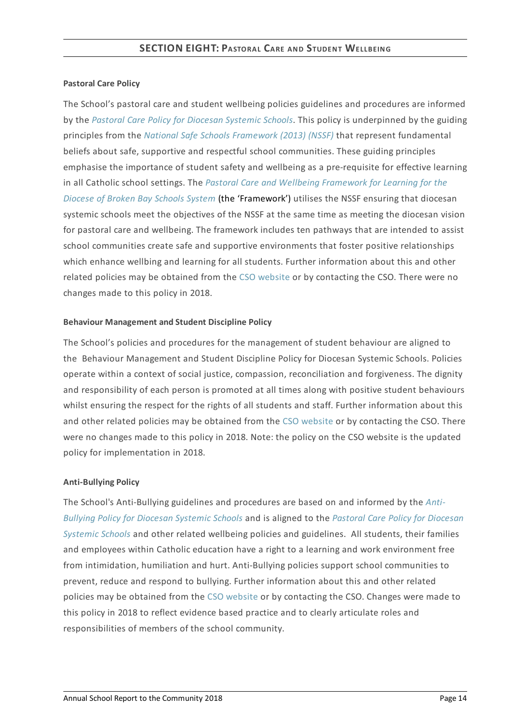#### **Pastoral Care Policy**

The School's pastoral care and student wellbeing policies guidelines and procedures are informed by the *Pastoral Care Policy for [Diocesan](https://www.csodbb.catholic.edu.au/about/dsp-collection.cfm?loadref=125) Systemic Schools*. This policy is underpinned by the guiding principles from the *National Safe Schools [Framework](https://www.education.gov.au/national-safe-schools-framework-0) (2013) (NSSF)* that represent fundamental beliefs about safe, supportive and respectful school communities. These guiding principles emphasise the importance of student safety and wellbeing as a pre-requisite for effective learning in all Catholic school settings. The *Pastoral Care and Wellbeing Framework for Learning for the Diocese of Broken Bay Schools System* (the ['Framework'\)](https://www.csodbb.catholic.edu.au/studentwellbeing/dsp-default.cfm?loadref=140) utilises the NSSF ensuring that diocesan systemic schools meet the objectives of the NSSF at the same time as meeting the diocesan vision for pastoral care and wellbeing. The framework includes ten pathways that are intended to assist school communities create safe and supportive environments that foster positive relationships which enhance wellbing and learning for all students. Further information about this and other related policies may be obtained from the CSO [website](https://www.csodbb.catholic.edu.au/about/dsp-collection.cfm?loadref=125) or by contacting the CSO. There were no changes made to this policy in 2018.

#### **Behaviour Management and Student Discipline Policy**

The School's policies and procedures for the management of student behaviour are aligned to the Behaviour Management and Student Discipline Policy for Diocesan Systemic Schools. Policies operate within a context of social justice, compassion, reconciliation and forgiveness. The dignity and responsibility of each person is promoted at all times along with positive student behaviours whilst ensuring the respect for the rights of all students and staff. Further information about this and other related policies may be obtained from the CSO [website](https://www.csodbb.catholic.edu.au/about/dsp-collection.cfm?loadref=125) or by contacting the CSO. There were no changes made to this policy in 2018. Note: the policy on the CSO website is the updated policy for implementation in 2018.

#### **Anti-Bullying Policy**

The School's [Anti-Bullying](https://www.csodbb.catholic.edu.au/about/dsp-collection.cfm?loadref=125) guidelines and procedures are based on and informed by the *Anti-Bullying Policy for Diocesan Systemic Schools* and is aligned to the *Pastoral Care Policy for Diocesan Systemic Schools* and other related wellbeing policies and [guidelines.](https://www.csodbb.catholic.edu.au/about/dsp-collection.cfm?loadref=125) All students, their families and employees within Catholic education have a right to a learning and work environment free from intimidation, humiliation and hurt. Anti-Bullying policies support school communities to prevent, reduce and respond to bullying. Further information about this and other related policies may be obtained from the CSO [website](https://www.csodbb.catholic.edu.au/about/dsp-collection.cfm?loadref=125) or by contacting the CSO. Changes were made to this policy in 2018 to reflect evidence based practice and to clearly articulate roles and responsibilities of members of the school community.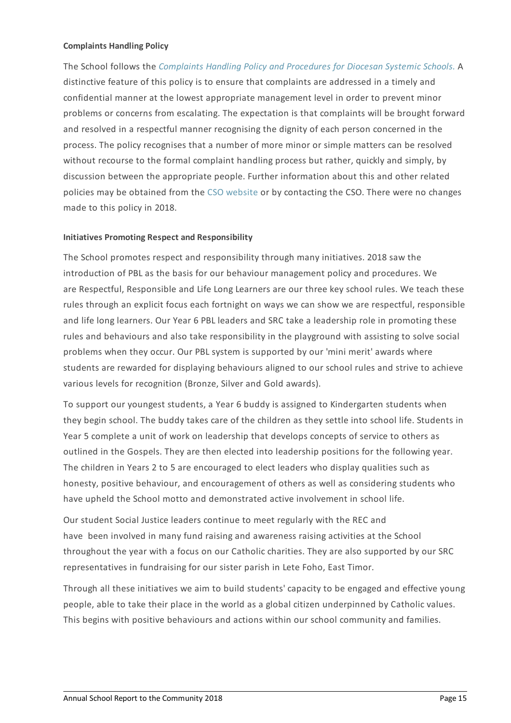#### **Complaints Handling Policy**

The School follows the *[Complaints](https://www.csodbb.catholic.edu.au/about/dsp-collection.cfm?loadref=125) Handling Policy and Procedures for Diocesan Systemic Schools.* A distinctive feature of this policy is to ensure that complaints are addressed in a timely and confidential manner at the lowest appropriate management level in order to prevent minor problems or concerns from escalating. The expectation is that complaints will be brought forward and resolved in a respectful manner recognising the dignity of each person concerned in the process. The policy recognises that a number of more minor or simple matters can be resolved without recourse to the formal complaint handling process but rather, quickly and simply, by discussion between the appropriate people. Further information about this and other related policies may be obtained from the CSO [website](https://www.csodbb.catholic.edu.au/about/dsp-collection.cfm?loadref=125) or by contacting the CSO. There were no changes made to this policy in 2018.

#### **Initiatives Promoting Respect and Responsibility**

The School promotes respect and responsibility through many initiatives. 2018 saw the introduction of PBL as the basis for our behaviour management policy and procedures. We are Respectful, Responsible and Life Long Learners are our three key school rules. We teach these rules through an explicit focus each fortnight on ways we can show we are respectful, responsible and life long learners. Our Year 6 PBL leaders and SRC take a leadership role in promoting these rules and behaviours and also take responsibility in the playground with assisting to solve social problems when they occur. Our PBL system is supported by our 'mini merit' awards where students are rewarded for displaying behaviours aligned to our school rules and strive to achieve various levels for recognition (Bronze, Silver and Gold awards).

To support our youngest students, a Year 6 buddy is assigned to Kindergarten students when they begin school. The buddy takes care of the children as they settle into school life. Students in Year 5 complete a unit of work on leadership that develops concepts of service to others as outlined in the Gospels. They are then elected into leadership positions for the following year. The children in Years 2 to 5 are encouraged to elect leaders who display qualities such as honesty, positive behaviour, and encouragement of others as well as considering students who have upheld the School motto and demonstrated active involvement in school life.

Our student Social Justice leaders continue to meet regularly with the REC and have been involved in many fund raising and awareness raising activities at the School throughout the year with a focus on our Catholic charities. They are also supported by our SRC representatives in fundraising for our sister parish in Lete Foho, East Timor.

Through all these initiatives we aim to build students' capacity to be engaged and effective young people, able to take their place in the world as a global citizen underpinned by Catholic values. This begins with positive behaviours and actions within our school community and families.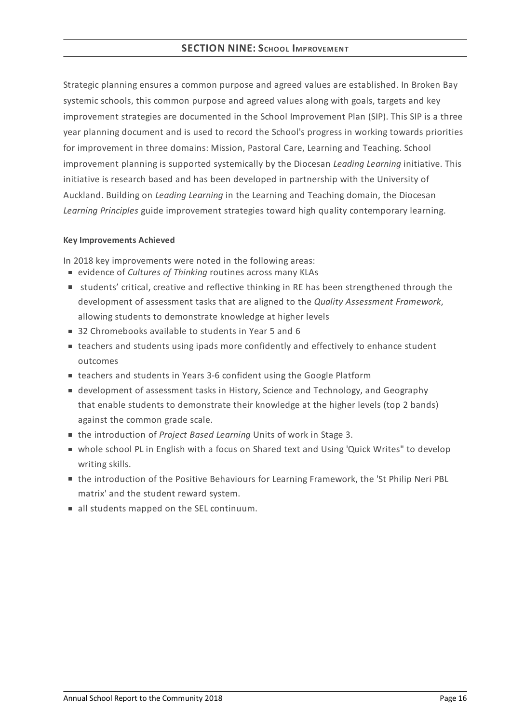#### **SECTION NINE:SCHOOL IMPROVEMENT**

Strategic planning ensures a common purpose and agreed values are established. In Broken Bay systemic schools, this common purpose and agreed values along with goals, targets and key improvement strategies are documented in the School Improvement Plan (SIP). This SIP is a three year planning document and is used to record the School's progress in working towards priorities for improvement in three domains: Mission, Pastoral Care, Learning and Teaching. School improvement planning is supported systemically by the Diocesan *Leading Learning* initiative. This initiative is research based and has been developed in partnership with the University of Auckland. Building on *Leading Learning* in the Learning and Teaching domain, the Diocesan *Learning Principles* guide improvement strategies toward high quality contemporary learning.

#### **KeyImprovements Achieved**

In 2018 key improvements were noted in the following areas:

- evidence of *Cultures of Thinking* routines across many KLAs
- **students' critical, creative and reflective thinking in RE has been strengthened through the** development of assessment tasks that are aligned to the *Quality Assessment Framework*, allowing students to demonstrate knowledge at higher levels
- 32 Chromebooks available to students in Year 5 and 6
- teachers and students using ipads more confidently and effectively to enhance student outcomes
- teachers and students in Years 3-6 confident using the Google Platform
- development of assessment tasks in History, Science and Technology, and Geography that enable students to demonstrate their knowledge at the higher levels (top 2 bands) against the common grade scale.
- the introduction of *Project Based Learning* Units of work in Stage 3.
- whole school PL in English with a focus on Shared text and Using 'Quick Writes" to develop writing skills.
- the introduction of the Positive Behaviours for Learning Framework, the 'St Philip Neri PBL matrix' and the student reward system.
- all students mapped on the SEL continuum.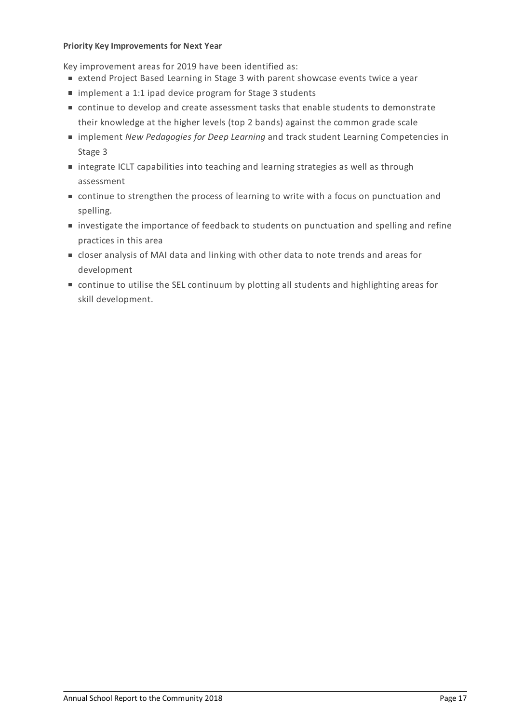#### **Priority KeyImprovements for Next Year**

Key improvement areas for 2019 have been identified as:

- extend Project Based Learning in Stage 3 with parent showcase events twice a year
- implement a 1:1 ipad device program for Stage 3 students
- continue to develop and create assessment tasks that enable students to demonstrate their knowledge at the higher levels (top 2 bands) against the common grade scale
- implement *New Pedagogies for Deep Learning* and track student Learning Competencies in Stage 3
- integrate ICLT capabilities into teaching and learning strategies as well as through assessment
- continue to strengthen the process of learning to write with a focus on punctuation and spelling.
- **If investigate the importance of feedback to students on punctuation and spelling and refine** practices in this area
- closer analysis of MAI data and linking with other data to note trends and areas for development
- continue to utilise the SEL continuum by plotting all students and highlighting areas for skill development.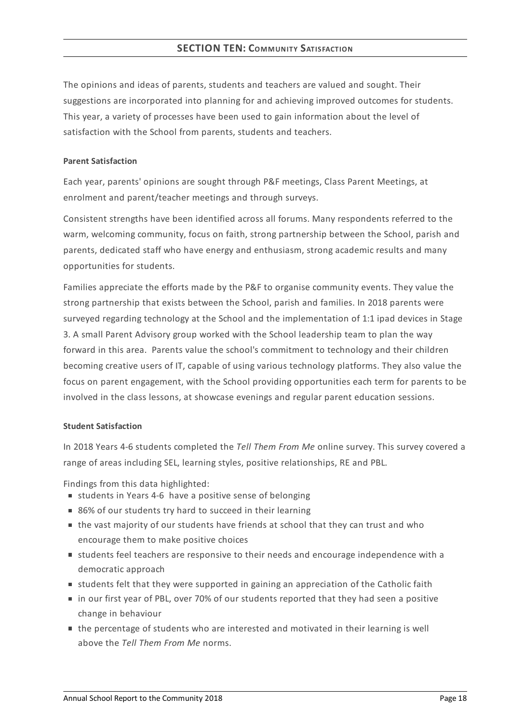#### **SECTION TEN: COMMUNITY SATISFACTION**

The opinions and ideas of parents, students and teachers are valued and sought. Their suggestions are incorporated into planning for and achieving improved outcomes for students. This year, a variety of processes have been used to gain information about the level of satisfaction with the School from parents, students and teachers.

#### **Parent Satisfaction**

Each year, parents' opinions are sought through P&F meetings, Class Parent Meetings, at enrolment and parent/teacher meetings and through surveys.

Consistent strengths have been identified across all forums. Many respondents referred to the warm, welcoming community, focus on faith, strong partnership between the School, parish and parents, dedicated staff who have energy and enthusiasm, strong academic results and many opportunities for students.

Families appreciate the efforts made by the P&F to organise community events. They value the strong partnership that exists between the School, parish and families. In 2018 parents were surveyed regarding technology at the School and the implementation of 1:1 ipad devices in Stage 3. A small Parent Advisory group worked with the School leadership team to plan the way forward in this area. Parents value the school's commitment to technology and their children becoming creative users of IT, capable of using various technology platforms. They also value the focus on parent engagement, with the School providing opportunities each term for parents to be involved in the class lessons, at showcase evenings and regular parent education sessions.

#### **Student Satisfaction**

In 2018 Years 4-6 students completed the *Tell Them From Me* online survey. This survey covered a range of areas including SEL, learning styles, positive relationships, RE and PBL.

Findings from this data highlighted:

- students in Years 4-6 have a positive sense of belonging
- 86% of our students try hard to succeed in their learning
- the vast majority of our students have friends at school that they can trust and who encourage them to make positive choices
- students feel teachers are responsive to their needs and encourage independence with a democratic approach
- **students felt that they were supported in gaining an appreciation of the Catholic faith**
- in our first year of PBL, over 70% of our students reported that they had seen a positive change in behaviour
- the percentage of students who are interested and motivated in their learning is well above the *Tell Them From Me* norms.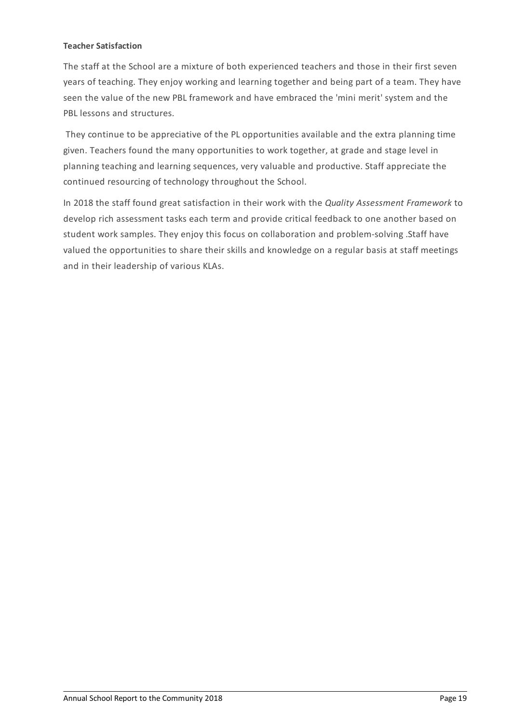#### **Teacher Satisfaction**

The staff at the School are a mixture of both experienced teachers and those in their first seven years of teaching. They enjoy working and learning together and being part of a team. They have seen the value of the new PBL framework and have embraced the 'mini merit' system and the PBL lessons and structures.

They continue to be appreciative of the PL opportunities available and the extra planning time given. Teachers found the many opportunities to work together, at grade and stage level in planning teaching and learning sequences, very valuable and productive. Staff appreciate the continued resourcing of technology throughout the School.

In 2018 the staff found great satisfaction in their work with the *Quality Assessment Framework* to develop rich assessment tasks each term and provide critical feedback to one another based on student work samples. They enjoy this focus on collaboration and problem-solving .Staff have valued the opportunities to share their skills and knowledge on a regular basis at staff meetings and in their leadership of various KLAs.